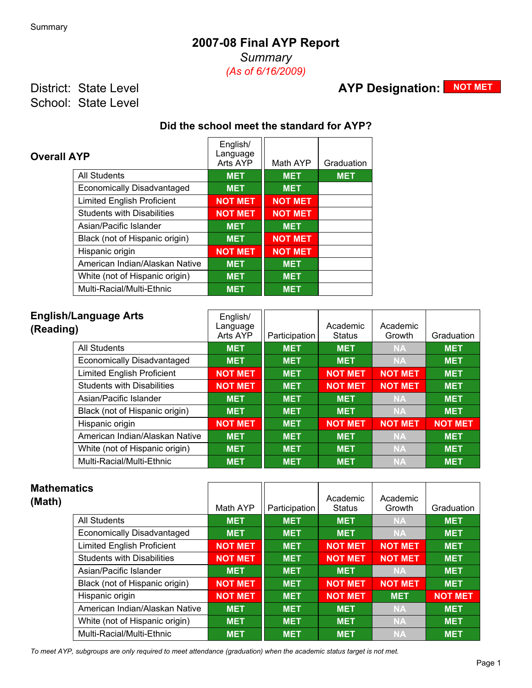## **2007-08 Final AYP Report**

*Summary (As of 6/16/2009)*

District: State Level School: State Level

# **AYP Designation: NOT MET**

### **Did the school meet the standard for AYP?**

| <b>Overall AYP</b>                | English/<br>Language<br>Arts AYP | Math AYP       | Graduation |
|-----------------------------------|----------------------------------|----------------|------------|
| <b>All Students</b>               | <b>MET</b>                       | <b>MET</b>     | <b>MET</b> |
| <b>Economically Disadvantaged</b> | <b>MET</b>                       | <b>MET</b>     |            |
| <b>Limited English Proficient</b> | <b>NOT MET</b>                   | <b>NOT MET</b> |            |
| <b>Students with Disabilities</b> | <b>NOT MET</b>                   | <b>NOT MET</b> |            |
| Asian/Pacific Islander            | <b>MET</b>                       | <b>MET</b>     |            |
| Black (not of Hispanic origin)    | <b>MET</b>                       | <b>NOT MET</b> |            |
| Hispanic origin                   | <b>NOT MET</b>                   | <b>NOT MET</b> |            |
| American Indian/Alaskan Native    | <b>MET</b>                       | <b>MET</b>     |            |
| White (not of Hispanic origin)    | <b>MET</b>                       | <b>MET</b>     |            |
| Multi-Racial/Multi-Ethnic         | <b>MET</b>                       | <b>MET</b>     |            |

| <b>English/Language Arts</b><br>(Reading) | English/<br>Language<br>Arts AYP | Participation | Academic<br><b>Status</b> | Academic<br>Growth | Graduation     |
|-------------------------------------------|----------------------------------|---------------|---------------------------|--------------------|----------------|
| All Students                              | <b>MET</b>                       | <b>MET</b>    | <b>MET</b>                | <b>NA</b>          | <b>MET</b>     |
| Economically Disadvantaged                | <b>MET</b>                       | <b>MET</b>    | <b>MET</b>                | <b>NA</b>          | <b>MET</b>     |
| <b>Limited English Proficient</b>         | <b>NOT MET</b>                   | <b>MET</b>    | <b>NOT MET</b>            | <b>NOT MET</b>     | <b>MET</b>     |
| <b>Students with Disabilities</b>         | <b>NOT MET</b>                   | <b>MET</b>    | <b>NOT MET</b>            | <b>NOT MET</b>     | <b>MET</b>     |
| Asian/Pacific Islander                    | <b>MET</b>                       | <b>MET</b>    | <b>MET</b>                | <b>NA</b>          | <b>MET</b>     |
| Black (not of Hispanic origin)            | <b>MET</b>                       | <b>MET</b>    | <b>MET</b>                | <b>NA</b>          | <b>MET</b>     |
| Hispanic origin                           | <b>NOT MET</b>                   | <b>MET</b>    | <b>NOT MET</b>            | <b>NOT MET</b>     | <b>NOT MET</b> |
| American Indian/Alaskan Native            | <b>MET</b>                       | <b>MET</b>    | <b>MET</b>                | <b>NA</b>          | <b>MET</b>     |
| White (not of Hispanic origin)            | <b>MET</b>                       | <b>MET</b>    | <b>MET</b>                | <b>NA</b>          | <b>MET</b>     |
| Multi-Racial/Multi-Ethnic                 | <b>MET</b>                       | <b>MET</b>    | <b>MET</b>                | <b>NA</b>          | <b>MET</b>     |

| <b>Mathematics</b><br>(Math)      | Math AYP       | Participation | Academic<br><b>Status</b> | Academic<br>Growth | Graduation     |
|-----------------------------------|----------------|---------------|---------------------------|--------------------|----------------|
| <b>All Students</b>               | <b>MET</b>     | <b>MET</b>    | <b>MET</b>                | <b>NA</b>          | <b>MET</b>     |
| Economically Disadvantaged        | <b>MET</b>     | <b>MET</b>    | <b>MET</b>                | <b>NA</b>          | <b>MET</b>     |
| <b>Limited English Proficient</b> | <b>NOT MET</b> | <b>MET</b>    | <b>NOT MET</b>            | <b>NOT MET</b>     | <b>MET</b>     |
| <b>Students with Disabilities</b> | <b>NOT MET</b> | <b>MET</b>    | <b>NOT MET</b>            | <b>NOT MET</b>     | <b>MET</b>     |
| Asian/Pacific Islander            | <b>MET</b>     | <b>MET</b>    | <b>MET</b>                | <b>NA</b>          | <b>MET</b>     |
| Black (not of Hispanic origin)    | <b>NOT MET</b> | <b>MET</b>    | <b>NOT MET</b>            | <b>NOT MET</b>     | <b>MET</b>     |
| Hispanic origin                   | <b>NOT MET</b> | <b>MET</b>    | <b>NOT MET</b>            | <b>MET</b>         | <b>NOT MET</b> |
| American Indian/Alaskan Native    | <b>MET</b>     | <b>MET</b>    | <b>MET</b>                | <b>NA</b>          | <b>MET</b>     |
| White (not of Hispanic origin)    | <b>MET</b>     | <b>MET</b>    | <b>MET</b>                | <b>NA</b>          | <b>MET</b>     |
| Multi-Racial/Multi-Ethnic         | <b>MET</b>     | <b>MET</b>    | <b>MET</b>                | <b>NA</b>          | <b>MET</b>     |

*To meet AYP, subgroups are only required to meet attendance (graduation) when the academic status target is not met.*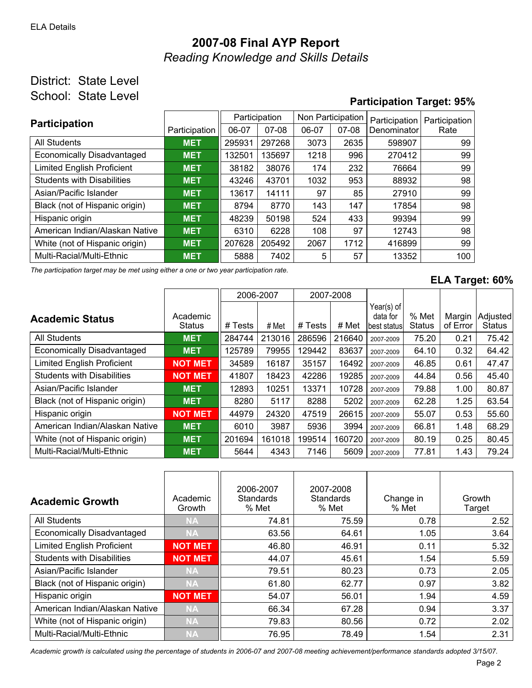# **2007-08 Final AYP Report** *Reading Knowledge and Skills Details*

### District: State Level School: State Level

## **Participation Target: 95%**

| <b>Participation</b>              |               | Participation |         | Non Participation |         | Participation | Participation |
|-----------------------------------|---------------|---------------|---------|-------------------|---------|---------------|---------------|
|                                   | Participation | 06-07         | $07-08$ | 06-07             | $07-08$ | Denominator   | Rate          |
| All Students                      | <b>MET</b>    | 295931        | 297268  | 3073              | 2635    | 598907        | 99            |
| Economically Disadvantaged        | <b>MET</b>    | 132501        | 135697  | 1218              | 996     | 270412        | 99            |
| <b>Limited English Proficient</b> | <b>MET</b>    | 38182         | 38076   | 174               | 232     | 76664         | 99            |
| <b>Students with Disabilities</b> | <b>MET</b>    | 43246         | 43701   | 1032              | 953     | 88932         | 98            |
| Asian/Pacific Islander            | <b>MET</b>    | 13617         | 14111   | 97                | 85      | 27910         | 99            |
| Black (not of Hispanic origin)    | <b>MET</b>    | 8794          | 8770    | 143               | 147     | 17854         | 98            |
| Hispanic origin                   | <b>MET</b>    | 48239         | 50198   | 524               | 433     | 99394         | 99            |
| American Indian/Alaskan Native    | <b>MET</b>    | 6310          | 6228    | 108               | 97      | 12743         | 98            |
| White (not of Hispanic origin)    | <b>MET</b>    | 207628        | 205492  | 2067              | 1712    | 416899        | 99            |
| Multi-Racial/Multi-Ethnic         | <b>MET</b>    | 5888          | 7402    | 5                 | 57      | 13352         | 100           |

*The participation target may be met using either a one or two year participation rate.*

#### **ELA Target: 60%**

|                                   |                    |         | 2006-2007 | 2007-2008 |        |                                         |                        |                    |                           |
|-----------------------------------|--------------------|---------|-----------|-----------|--------|-----------------------------------------|------------------------|--------------------|---------------------------|
| <b>Academic Status</b>            | Academic<br>Status | # Tests | # Met     | # Tests   | # Met  | Year(s) of<br>data for<br>lbest statusl | % Met<br><b>Status</b> | Margin<br>of Error | Adjusted<br><b>Status</b> |
| <b>All Students</b>               | <b>MET</b>         | 284744  | 213016    | 286596    | 216640 | 2007-2009                               | 75.20                  | 0.21               | 75.42                     |
| <b>Economically Disadvantaged</b> | <b>MET</b>         | 125789  | 79955     | 129442    | 83637  | 2007-2009                               | 64.10                  | 0.32               | 64.42                     |
| <b>Limited English Proficient</b> | <b>NOT MET</b>     | 34589   | 16187     | 35157     | 16492  | 2007-2009                               | 46.85                  | 0.61               | 47.47                     |
| <b>Students with Disabilities</b> | <b>NOT MET</b>     | 41807   | 18423     | 42286     | 19285  | 2007-2009                               | 44.84                  | 0.56               | 45.40                     |
| Asian/Pacific Islander            | <b>MET</b>         | 12893   | 10251     | 13371     | 10728  | 2007-2009                               | 79.88                  | 1.00               | 80.87                     |
| Black (not of Hispanic origin)    | <b>MET</b>         | 8280    | 5117      | 8288      | 5202   | 2007-2009                               | 62.28                  | 1.25               | 63.54                     |
| Hispanic origin                   | <b>NOT MET</b>     | 44979   | 24320     | 47519     | 26615  | 2007-2009                               | 55.07                  | 0.53               | 55.60                     |
| American Indian/Alaskan Native    | <b>MET</b>         | 6010    | 3987      | 5936      | 3994   | 2007-2009                               | 66.81                  | 1.48               | 68.29                     |
| White (not of Hispanic origin)    | <b>MET</b>         | 201694  | 161018    | 199514    | 160720 | 2007-2009                               | 80.19                  | 0.25               | 80.45                     |
| Multi-Racial/Multi-Ethnic         | <b>MET</b>         | 5644    | 4343      | 7146      | 5609   | 2007-2009                               | 77.81                  | 1.43               | 79.24                     |

| <b>Academic Growth</b>            | Academic<br>Growth | 2006-2007<br>Standards<br>% Met | 2007-2008<br><b>Standards</b><br>% Met | Change in<br>% Met | Growth<br>Target |
|-----------------------------------|--------------------|---------------------------------|----------------------------------------|--------------------|------------------|
| <b>All Students</b>               | <b>NA</b>          | 74.81                           | 75.59                                  | 0.78               | 2.52             |
| <b>Economically Disadvantaged</b> | <b>NA</b>          | 63.56                           | 64.61                                  | 1.05               | 3.64             |
| <b>Limited English Proficient</b> | <b>NOT MET</b>     | 46.80                           | 46.91                                  | 0.11               | 5.32             |
| <b>Students with Disabilities</b> | <b>NOT MET</b>     | 44.07                           | 45.61                                  | 1.54               | 5.59             |
| Asian/Pacific Islander            | <b>NA</b>          | 79.51                           | 80.23                                  | 0.73               | 2.05             |
| Black (not of Hispanic origin)    | <b>NA</b>          | 61.80                           | 62.77                                  | 0.97               | 3.82             |
| Hispanic origin                   | <b>NOT MET</b>     | 54.07                           | 56.01                                  | 1.94               | 4.59             |
| American Indian/Alaskan Native    | <b>NA</b>          | 66.34                           | 67.28                                  | 0.94               | 3.37             |
| White (not of Hispanic origin)    | <b>NA</b>          | 79.83                           | 80.56                                  | 0.72               | 2.02             |
| Multi-Racial/Multi-Ethnic         | <b>NA</b>          | 76.95                           | 78.49                                  | 1.54               | 2.31             |

*Academic growth is calculated using the percentage of students in 2006-07 and 2007-08 meeting achievement/performance standards adopted 3/15/07.*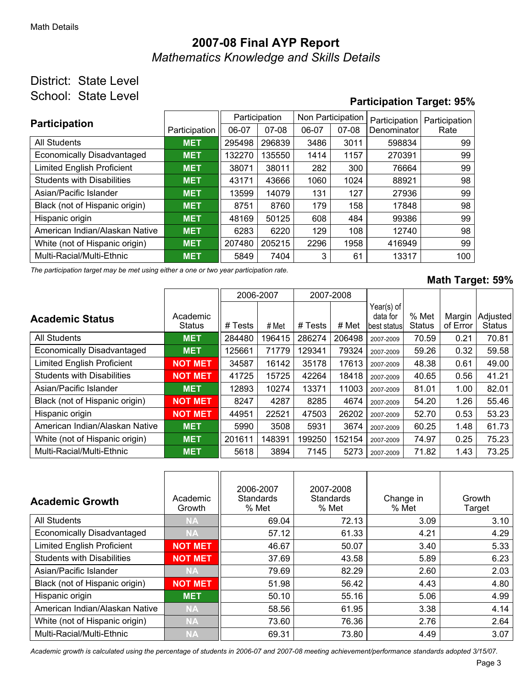# **2007-08 Final AYP Report** *Mathematics Knowledge and Skills Details*

### District: State Level School: State Level

### **Participation Target: 95%**

| <b>Participation</b>              |               | Participation |           |       | Non Participation | Participation | Participation |  |
|-----------------------------------|---------------|---------------|-----------|-------|-------------------|---------------|---------------|--|
|                                   | Participation | 06-07         | $07 - 08$ | 06-07 | $07-08$           | Denominator   | Rate          |  |
| All Students                      | <b>MET</b>    | 295498        | 296839    | 3486  | 3011              | 598834        | 99            |  |
| <b>Economically Disadvantaged</b> | <b>MET</b>    | 132270        | 135550    | 1414  | 1157              | 270391        | 99            |  |
| <b>Limited English Proficient</b> | <b>MET</b>    | 38071         | 38011     | 282   | 300               | 76664         | 99            |  |
| <b>Students with Disabilities</b> | <b>MET</b>    | 43171         | 43666     | 1060  | 1024              | 88921         | 98            |  |
| Asian/Pacific Islander            | <b>MET</b>    | 13599         | 14079     | 131   | 127               | 27936         | 99            |  |
| Black (not of Hispanic origin)    | <b>MET</b>    | 8751          | 8760      | 179   | 158               | 17848         | 98            |  |
| Hispanic origin                   | <b>MET</b>    | 48169         | 50125     | 608   | 484               | 99386         | 99            |  |
| American Indian/Alaskan Native    | <b>MET</b>    | 6283          | 6220      | 129   | 108               | 12740         | 98            |  |
| White (not of Hispanic origin)    | <b>MET</b>    | 207480        | 205215    | 2296  | 1958              | 416949        | 99            |  |
| Multi-Racial/Multi-Ethnic         | <b>MET</b>    | 5849          | 7404      | 3     | 61                | 13317         | 100           |  |

*The participation target may be met using either a one or two year participation rate.*

#### **Math Target: 59%**

|                                   |                           |         | 2006-2007 | 2007-2008 |        |                                         |                        |                    |                           |
|-----------------------------------|---------------------------|---------|-----------|-----------|--------|-----------------------------------------|------------------------|--------------------|---------------------------|
| <b>Academic Status</b>            | Academic<br><b>Status</b> | # Tests | # Met     | # Tests   | # Met  | Year(s) of<br>data for<br>lbest statusl | % Met<br><b>Status</b> | Margin<br>of Error | Adjusted<br><b>Status</b> |
| <b>All Students</b>               | <b>MET</b>                | 284480  | 196415    | 286274    | 206498 | 2007-2009                               | 70.59                  | 0.21               | 70.81                     |
| <b>Economically Disadvantaged</b> | <b>MET</b>                | 125661  | 71779     | 129341    | 79324  | 2007-2009                               | 59.26                  | 0.32               | 59.58                     |
| <b>Limited English Proficient</b> | <b>NOT MET</b>            | 34587   | 16142     | 35178     | 17613  | 2007-2009                               | 48.38                  | 0.61               | 49.00                     |
| <b>Students with Disabilities</b> | <b>NOT MET</b>            | 41725   | 15725     | 42264     | 18418  | 2007-2009                               | 40.65                  | 0.56               | 41.21                     |
| Asian/Pacific Islander            | <b>MET</b>                | 12893   | 10274     | 13371     | 11003  | 2007-2009                               | 81.01                  | 1.00               | 82.01                     |
| Black (not of Hispanic origin)    | <b>NOT MET</b>            | 8247    | 4287      | 8285      | 4674   | 2007-2009                               | 54.20                  | 1.26               | 55.46                     |
| Hispanic origin                   | <b>NOT MET</b>            | 44951   | 22521     | 47503     | 26202  | 2007-2009                               | 52.70                  | 0.53               | 53.23                     |
| American Indian/Alaskan Native    | <b>MET</b>                | 5990    | 3508      | 5931      | 3674   | 2007-2009                               | 60.25                  | 1.48               | 61.73                     |
| White (not of Hispanic origin)    | <b>MET</b>                | 201611  | 148391    | 199250    | 152154 | 2007-2009                               | 74.97                  | 0.25               | 75.23                     |
| Multi-Racial/Multi-Ethnic         | <b>MET</b>                | 5618    | 3894      | 7145      | 5273   | 2007-2009                               | 71.82                  | 1.43               | 73.25                     |

| <b>Academic Growth</b>            | Academic<br>Growth | 2006-2007<br>Standards<br>% Met | 2007-2008<br>Standards<br>% Met | Change in<br>% Met | Growth<br>Target |
|-----------------------------------|--------------------|---------------------------------|---------------------------------|--------------------|------------------|
| <b>All Students</b>               | <b>NA</b>          | 69.04                           | 72.13                           | 3.09               | 3.10             |
| <b>Economically Disadvantaged</b> | <b>NA</b>          | 57.12                           | 61.33                           | 4.21               | 4.29             |
| <b>Limited English Proficient</b> | <b>NOT MET</b>     | 46.67                           | 50.07                           | 3.40               | 5.33             |
| <b>Students with Disabilities</b> | <b>NOT MET</b>     | 37.69                           | 43.58                           | 5.89               | 6.23             |
| Asian/Pacific Islander            | <b>NA</b>          | 79.69                           | 82.29                           | 2.60               | 2.03             |
| Black (not of Hispanic origin)    | <b>NOT MET</b>     | 51.98                           | 56.42                           | 4.43               | 4.80             |
| Hispanic origin                   | <b>MET</b>         | 50.10                           | 55.16                           | 5.06               | 4.99             |
| American Indian/Alaskan Native    | <b>NA</b>          | 58.56                           | 61.95                           | 3.38               | 4.14             |
| White (not of Hispanic origin)    | <b>NA</b>          | 73.60                           | 76.36                           | 2.76               | 2.64             |
| Multi-Racial/Multi-Ethnic         | <b>NA</b>          | 69.31                           | 73.80                           | 4.49               | 3.07             |

*Academic growth is calculated using the percentage of students in 2006-07 and 2007-08 meeting achievement/performance standards adopted 3/15/07.*